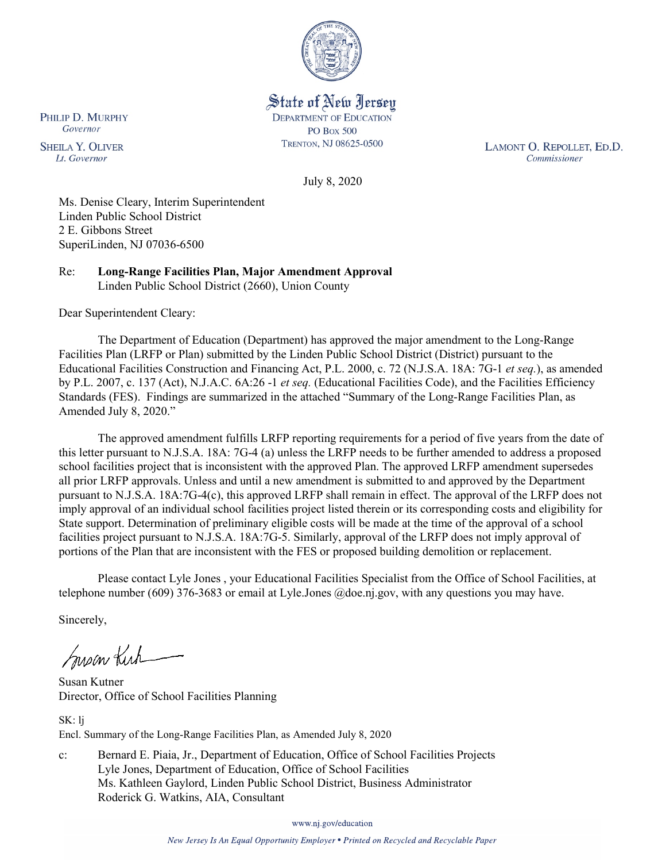

State of New Jersey **DEPARTMENT OF EDUCATION PO Box 500** TRENTON, NJ 08625-0500

LAMONT O. REPOLLET, ED.D. Commissioner

July 8, 2020

Ms. Denise Cleary, Interim Superintendent Linden Public School District 2 E. Gibbons Street SuperiLinden, NJ 07036-6500

Re: **Long-Range Facilities Plan, Major Amendment Approval** Linden Public School District (2660), Union County

Dear Superintendent Cleary:

The Department of Education (Department) has approved the major amendment to the Long-Range Facilities Plan (LRFP or Plan) submitted by the Linden Public School District (District) pursuant to the Educational Facilities Construction and Financing Act, P.L. 2000, c. 72 (N.J.S.A. 18A: 7G-1 *et seq.*), as amended by P.L. 2007, c. 137 (Act), N.J.A.C. 6A:26 -1 *et seq.* (Educational Facilities Code), and the Facilities Efficiency Standards (FES). Findings are summarized in the attached "Summary of the Long-Range Facilities Plan, as Amended July 8, 2020."

The approved amendment fulfills LRFP reporting requirements for a period of five years from the date of this letter pursuant to N.J.S.A. 18A: 7G-4 (a) unless the LRFP needs to be further amended to address a proposed school facilities project that is inconsistent with the approved Plan. The approved LRFP amendment supersedes all prior LRFP approvals. Unless and until a new amendment is submitted to and approved by the Department pursuant to N.J.S.A. 18A:7G-4(c), this approved LRFP shall remain in effect. The approval of the LRFP does not imply approval of an individual school facilities project listed therein or its corresponding costs and eligibility for State support. Determination of preliminary eligible costs will be made at the time of the approval of a school facilities project pursuant to N.J.S.A. 18A:7G-5. Similarly, approval of the LRFP does not imply approval of portions of the Plan that are inconsistent with the FES or proposed building demolition or replacement.

Please contact Lyle Jones , your Educational Facilities Specialist from the Office of School Facilities, at telephone number (609) 376-3683 or email at Lyle.Jones @doe.nj.gov, with any questions you may have.

Sincerely,

Susan Kich

Susan Kutner Director, Office of School Facilities Planning

SK: lj Encl. Summary of the Long-Range Facilities Plan, as Amended July 8, 2020

c: Bernard E. Piaia, Jr., Department of Education, Office of School Facilities Projects Lyle Jones, Department of Education, Office of School Facilities Ms. Kathleen Gaylord, Linden Public School District, Business Administrator Roderick G. Watkins, AIA, Consultant

www.nj.gov/education

PHILIP D. MURPHY Governor

**SHEILA Y. OLIVER** Lt. Governor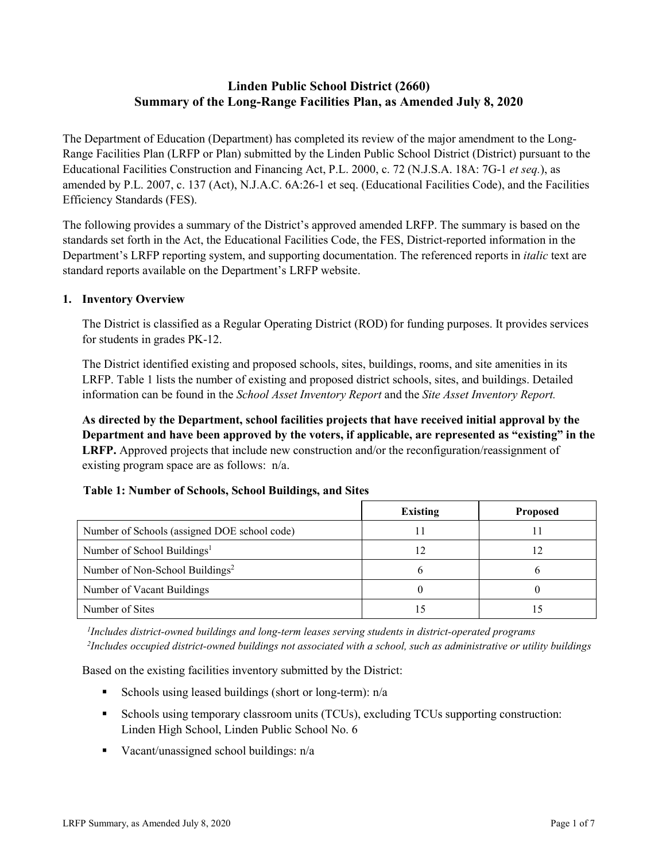# **Linden Public School District (2660) Summary of the Long-Range Facilities Plan, as Amended July 8, 2020**

The Department of Education (Department) has completed its review of the major amendment to the Long-Range Facilities Plan (LRFP or Plan) submitted by the Linden Public School District (District) pursuant to the Educational Facilities Construction and Financing Act, P.L. 2000, c. 72 (N.J.S.A. 18A: 7G-1 *et seq.*), as amended by P.L. 2007, c. 137 (Act), N.J.A.C. 6A:26-1 et seq. (Educational Facilities Code), and the Facilities Efficiency Standards (FES).

The following provides a summary of the District's approved amended LRFP. The summary is based on the standards set forth in the Act, the Educational Facilities Code, the FES, District-reported information in the Department's LRFP reporting system, and supporting documentation. The referenced reports in *italic* text are standard reports available on the Department's LRFP website.

### **1. Inventory Overview**

The District is classified as a Regular Operating District (ROD) for funding purposes. It provides services for students in grades PK-12.

The District identified existing and proposed schools, sites, buildings, rooms, and site amenities in its LRFP. Table 1 lists the number of existing and proposed district schools, sites, and buildings. Detailed information can be found in the *School Asset Inventory Report* and the *Site Asset Inventory Report.*

**As directed by the Department, school facilities projects that have received initial approval by the Department and have been approved by the voters, if applicable, are represented as "existing" in the LRFP.** Approved projects that include new construction and/or the reconfiguration/reassignment of existing program space are as follows: n/a.

|  | Table 1: Number of Schools, School Buildings, and Sites |
|--|---------------------------------------------------------|
|--|---------------------------------------------------------|

|                                              | <b>Existing</b> | <b>Proposed</b> |
|----------------------------------------------|-----------------|-----------------|
| Number of Schools (assigned DOE school code) |                 |                 |
| Number of School Buildings <sup>1</sup>      |                 |                 |
| Number of Non-School Buildings <sup>2</sup>  |                 |                 |
| Number of Vacant Buildings                   |                 |                 |
| Number of Sites                              |                 |                 |

*1 Includes district-owned buildings and long-term leases serving students in district-operated programs 2 Includes occupied district-owned buildings not associated with a school, such as administrative or utility buildings*

Based on the existing facilities inventory submitted by the District:

- Schools using leased buildings (short or long-term):  $n/a$
- Schools using temporary classroom units (TCUs), excluding TCUs supporting construction: Linden High School, Linden Public School No. 6
- Vacant/unassigned school buildings:  $n/a$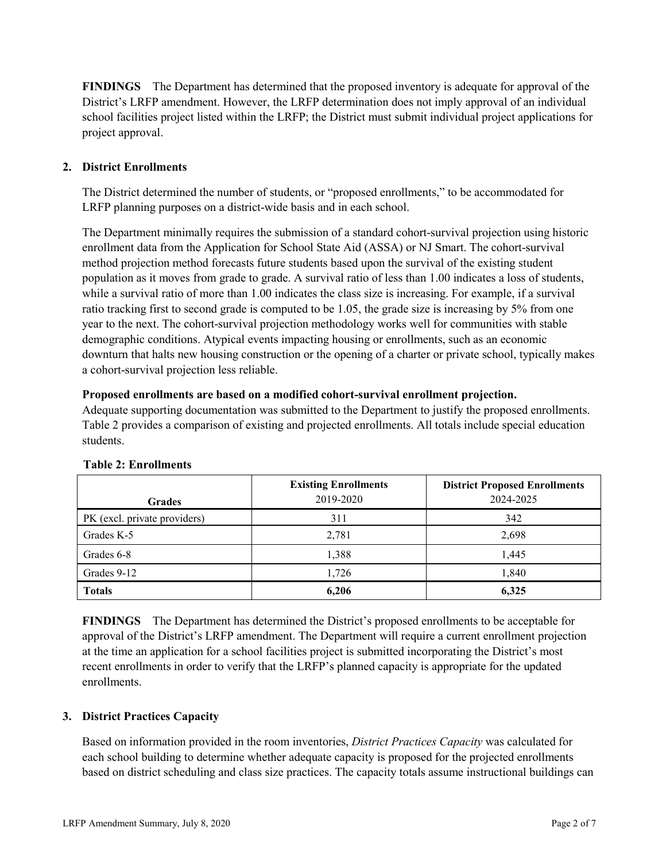**FINDINGS** The Department has determined that the proposed inventory is adequate for approval of the District's LRFP amendment. However, the LRFP determination does not imply approval of an individual school facilities project listed within the LRFP; the District must submit individual project applications for project approval.

# **2. District Enrollments**

The District determined the number of students, or "proposed enrollments," to be accommodated for LRFP planning purposes on a district-wide basis and in each school.

The Department minimally requires the submission of a standard cohort-survival projection using historic enrollment data from the Application for School State Aid (ASSA) or NJ Smart. The cohort-survival method projection method forecasts future students based upon the survival of the existing student population as it moves from grade to grade. A survival ratio of less than 1.00 indicates a loss of students, while a survival ratio of more than 1.00 indicates the class size is increasing. For example, if a survival ratio tracking first to second grade is computed to be 1.05, the grade size is increasing by 5% from one year to the next. The cohort-survival projection methodology works well for communities with stable demographic conditions. Atypical events impacting housing or enrollments, such as an economic downturn that halts new housing construction or the opening of a charter or private school, typically makes a cohort-survival projection less reliable.

#### **Proposed enrollments are based on a modified cohort-survival enrollment projection.**

Adequate supporting documentation was submitted to the Department to justify the proposed enrollments. Table 2 provides a comparison of existing and projected enrollments. All totals include special education students.

|                              | <b>Existing Enrollments</b> | <b>District Proposed Enrollments</b> |
|------------------------------|-----------------------------|--------------------------------------|
| <b>Grades</b>                | 2019-2020                   | 2024-2025                            |
| PK (excl. private providers) | 311                         | 342                                  |
| Grades K-5                   | 2,781                       | 2,698                                |
| Grades 6-8                   | 1,388                       | 1,445                                |
| Grades 9-12                  | 1,726                       | 1,840                                |
| <b>Totals</b>                | 6,206                       | 6,325                                |

#### **Table 2: Enrollments**

**FINDINGS** The Department has determined the District's proposed enrollments to be acceptable for approval of the District's LRFP amendment. The Department will require a current enrollment projection at the time an application for a school facilities project is submitted incorporating the District's most recent enrollments in order to verify that the LRFP's planned capacity is appropriate for the updated enrollments.

#### **3. District Practices Capacity**

Based on information provided in the room inventories, *District Practices Capacity* was calculated for each school building to determine whether adequate capacity is proposed for the projected enrollments based on district scheduling and class size practices. The capacity totals assume instructional buildings can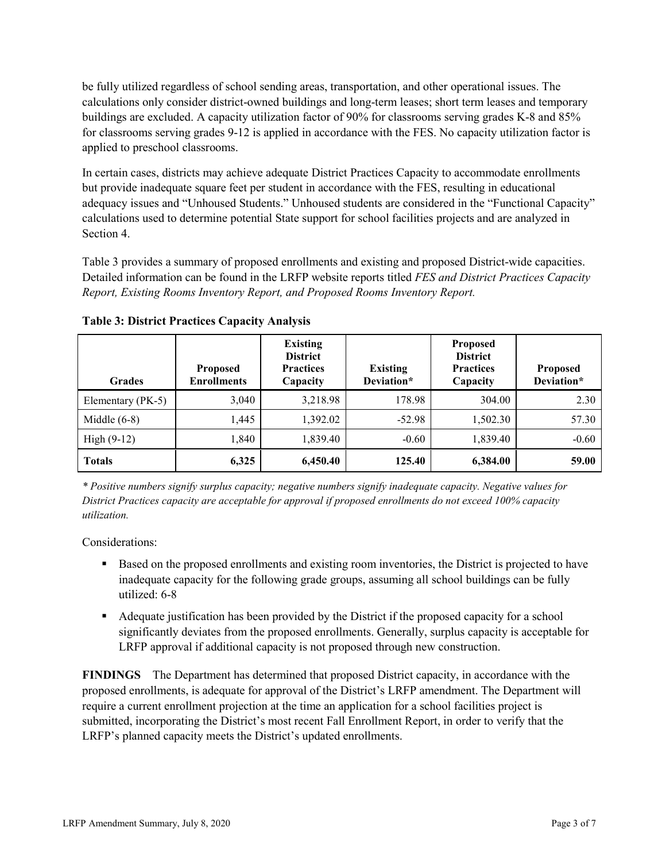be fully utilized regardless of school sending areas, transportation, and other operational issues. The calculations only consider district-owned buildings and long-term leases; short term leases and temporary buildings are excluded. A capacity utilization factor of 90% for classrooms serving grades K-8 and 85% for classrooms serving grades 9-12 is applied in accordance with the FES. No capacity utilization factor is applied to preschool classrooms.

In certain cases, districts may achieve adequate District Practices Capacity to accommodate enrollments but provide inadequate square feet per student in accordance with the FES, resulting in educational adequacy issues and "Unhoused Students." Unhoused students are considered in the "Functional Capacity" calculations used to determine potential State support for school facilities projects and are analyzed in Section 4.

Table 3 provides a summary of proposed enrollments and existing and proposed District-wide capacities. Detailed information can be found in the LRFP website reports titled *FES and District Practices Capacity Report, Existing Rooms Inventory Report, and Proposed Rooms Inventory Report.*

| <b>Grades</b>     | <b>Proposed</b><br><b>Enrollments</b> | <b>Existing</b><br><b>District</b><br><b>Practices</b><br>Capacity | <b>Existing</b><br>Deviation* | <b>Proposed</b><br><b>District</b><br><b>Practices</b><br>Capacity | <b>Proposed</b><br>Deviation* |
|-------------------|---------------------------------------|--------------------------------------------------------------------|-------------------------------|--------------------------------------------------------------------|-------------------------------|
| Elementary (PK-5) | 3,040                                 | 3,218.98                                                           | 178.98                        | 304.00                                                             | 2.30                          |
| Middle $(6-8)$    | 1.445                                 | 1,392.02                                                           | $-52.98$                      | 1,502.30                                                           | 57.30                         |
| High $(9-12)$     | 1,840                                 | 1,839.40                                                           | $-0.60$                       | 1,839.40                                                           | $-0.60$                       |
| <b>Totals</b>     | 6,325                                 | 6,450.40                                                           | 125.40                        | 6,384.00                                                           | 59.00                         |

**Table 3: District Practices Capacity Analysis**

*\* Positive numbers signify surplus capacity; negative numbers signify inadequate capacity. Negative values for District Practices capacity are acceptable for approval if proposed enrollments do not exceed 100% capacity utilization.*

Considerations:

- **Based on the proposed enrollments and existing room inventories, the District is projected to have** inadequate capacity for the following grade groups, assuming all school buildings can be fully utilized: 6-8
- Adequate justification has been provided by the District if the proposed capacity for a school significantly deviates from the proposed enrollments. Generally, surplus capacity is acceptable for LRFP approval if additional capacity is not proposed through new construction.

**FINDINGS**The Department has determined that proposed District capacity, in accordance with the proposed enrollments, is adequate for approval of the District's LRFP amendment. The Department will require a current enrollment projection at the time an application for a school facilities project is submitted, incorporating the District's most recent Fall Enrollment Report, in order to verify that the LRFP's planned capacity meets the District's updated enrollments.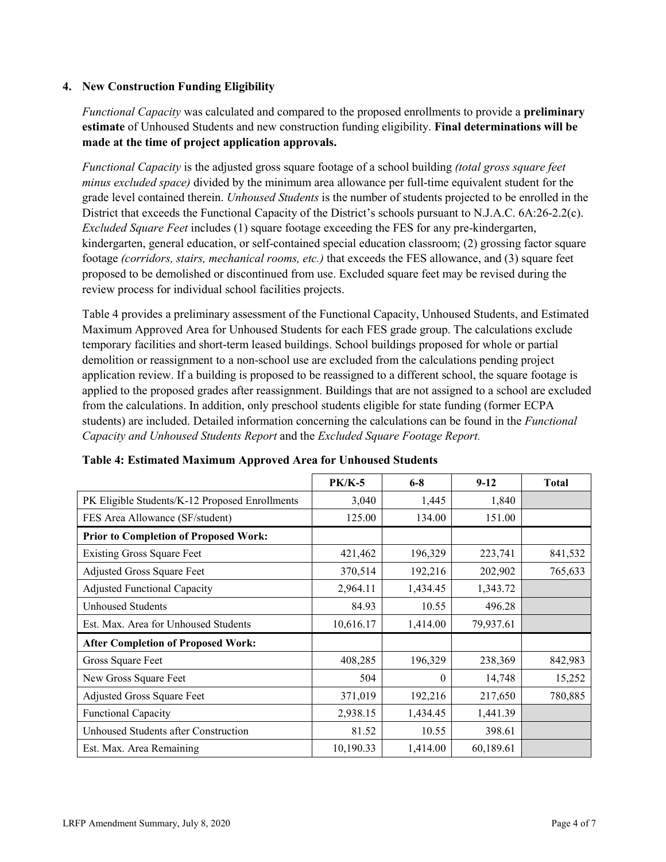### **4. New Construction Funding Eligibility**

*Functional Capacity* was calculated and compared to the proposed enrollments to provide a **preliminary estimate** of Unhoused Students and new construction funding eligibility. **Final determinations will be made at the time of project application approvals.**

*Functional Capacity* is the adjusted gross square footage of a school building *(total gross square feet minus excluded space)* divided by the minimum area allowance per full-time equivalent student for the grade level contained therein. *Unhoused Students* is the number of students projected to be enrolled in the District that exceeds the Functional Capacity of the District's schools pursuant to N.J.A.C. 6A:26-2.2(c). *Excluded Square Feet* includes (1) square footage exceeding the FES for any pre-kindergarten, kindergarten, general education, or self-contained special education classroom; (2) grossing factor square footage *(corridors, stairs, mechanical rooms, etc.)* that exceeds the FES allowance, and (3) square feet proposed to be demolished or discontinued from use. Excluded square feet may be revised during the review process for individual school facilities projects.

Table 4 provides a preliminary assessment of the Functional Capacity, Unhoused Students, and Estimated Maximum Approved Area for Unhoused Students for each FES grade group. The calculations exclude temporary facilities and short-term leased buildings. School buildings proposed for whole or partial demolition or reassignment to a non-school use are excluded from the calculations pending project application review. If a building is proposed to be reassigned to a different school, the square footage is applied to the proposed grades after reassignment. Buildings that are not assigned to a school are excluded from the calculations. In addition, only preschool students eligible for state funding (former ECPA students) are included. Detailed information concerning the calculations can be found in the *Functional Capacity and Unhoused Students Report* and the *Excluded Square Footage Report.*

|                                                | $PK/K-5$  | $6 - 8$  | $9 - 12$  | <b>Total</b> |
|------------------------------------------------|-----------|----------|-----------|--------------|
| PK Eligible Students/K-12 Proposed Enrollments | 3,040     | 1,445    | 1,840     |              |
| FES Area Allowance (SF/student)                | 125.00    | 134.00   | 151.00    |              |
| <b>Prior to Completion of Proposed Work:</b>   |           |          |           |              |
| <b>Existing Gross Square Feet</b>              | 421,462   | 196,329  | 223,741   | 841,532      |
| Adjusted Gross Square Feet                     | 370,514   | 192,216  | 202,902   | 765,633      |
| <b>Adjusted Functional Capacity</b>            | 2,964.11  | 1,434.45 | 1,343.72  |              |
| <b>Unhoused Students</b>                       | 84.93     | 10.55    | 496.28    |              |
| Est. Max. Area for Unhoused Students           | 10,616.17 | 1,414.00 | 79,937.61 |              |
| <b>After Completion of Proposed Work:</b>      |           |          |           |              |
| Gross Square Feet                              | 408,285   | 196,329  | 238,369   | 842,983      |
| New Gross Square Feet                          | 504       | $\theta$ | 14,748    | 15,252       |
| Adjusted Gross Square Feet                     | 371,019   | 192,216  | 217,650   | 780,885      |
| Functional Capacity                            | 2,938.15  | 1,434.45 | 1,441.39  |              |
| Unhoused Students after Construction           | 81.52     | 10.55    | 398.61    |              |
| Est. Max. Area Remaining                       | 10,190.33 | 1,414.00 | 60,189.61 |              |

| Table 4: Estimated Maximum Approved Area for Unhoused Students |  |  |  |
|----------------------------------------------------------------|--|--|--|
|----------------------------------------------------------------|--|--|--|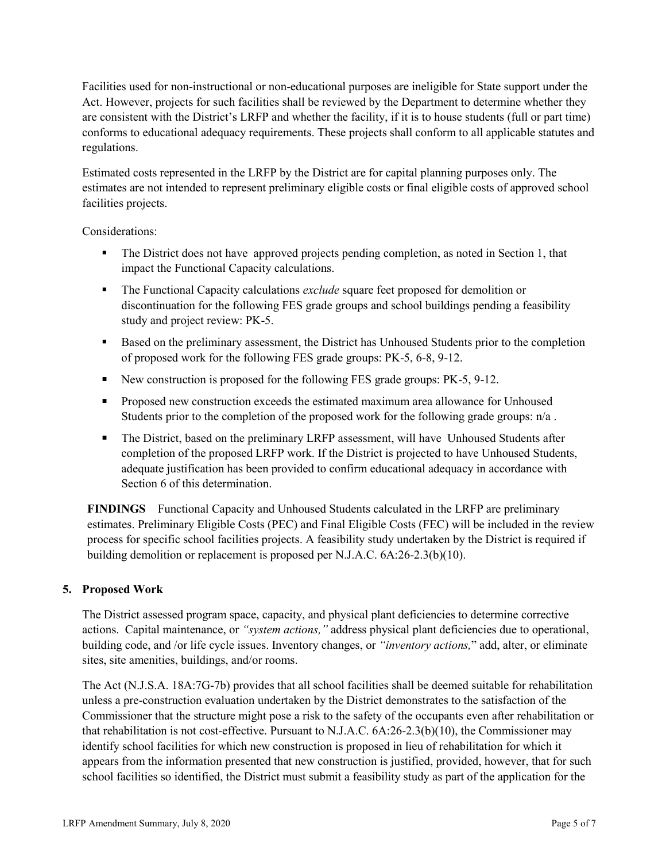Facilities used for non-instructional or non-educational purposes are ineligible for State support under the Act. However, projects for such facilities shall be reviewed by the Department to determine whether they are consistent with the District's LRFP and whether the facility, if it is to house students (full or part time) conforms to educational adequacy requirements. These projects shall conform to all applicable statutes and regulations.

Estimated costs represented in the LRFP by the District are for capital planning purposes only. The estimates are not intended to represent preliminary eligible costs or final eligible costs of approved school facilities projects.

Considerations:

- The District does not have approved projects pending completion, as noted in Section 1, that impact the Functional Capacity calculations.
- The Functional Capacity calculations *exclude* square feet proposed for demolition or discontinuation for the following FES grade groups and school buildings pending a feasibility study and project review: PK-5.
- **Based on the preliminary assessment, the District has Unhoused Students prior to the completion** of proposed work for the following FES grade groups: PK-5, 6-8, 9-12.
- New construction is proposed for the following FES grade groups: PK-5, 9-12.
- **Proposed new construction exceeds the estimated maximum area allowance for Unhoused** Students prior to the completion of the proposed work for the following grade groups:  $n/a$ .
- The District, based on the preliminary LRFP assessment, will have Unhoused Students after completion of the proposed LRFP work. If the District is projected to have Unhoused Students, adequate justification has been provided to confirm educational adequacy in accordance with Section 6 of this determination.

**FINDINGS** Functional Capacity and Unhoused Students calculated in the LRFP are preliminary estimates. Preliminary Eligible Costs (PEC) and Final Eligible Costs (FEC) will be included in the review process for specific school facilities projects. A feasibility study undertaken by the District is required if building demolition or replacement is proposed per N.J.A.C. 6A:26-2.3(b)(10).

# **5. Proposed Work**

The District assessed program space, capacity, and physical plant deficiencies to determine corrective actions. Capital maintenance, or *"system actions,"* address physical plant deficiencies due to operational, building code, and /or life cycle issues. Inventory changes, or *"inventory actions,*" add, alter, or eliminate sites, site amenities, buildings, and/or rooms.

The Act (N.J.S.A. 18A:7G-7b) provides that all school facilities shall be deemed suitable for rehabilitation unless a pre-construction evaluation undertaken by the District demonstrates to the satisfaction of the Commissioner that the structure might pose a risk to the safety of the occupants even after rehabilitation or that rehabilitation is not cost-effective. Pursuant to N.J.A.C. 6A:26-2.3(b)(10), the Commissioner may identify school facilities for which new construction is proposed in lieu of rehabilitation for which it appears from the information presented that new construction is justified, provided, however, that for such school facilities so identified, the District must submit a feasibility study as part of the application for the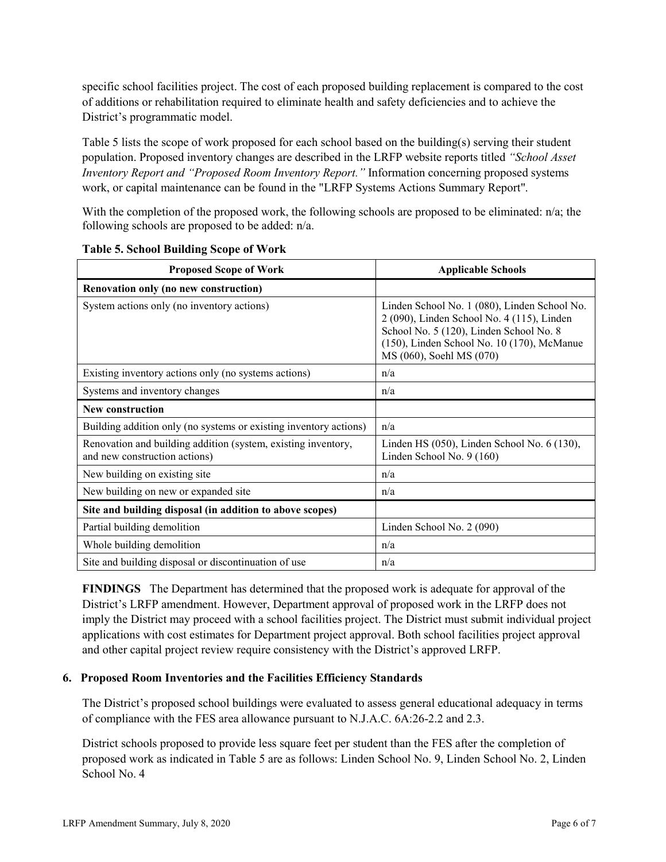specific school facilities project. The cost of each proposed building replacement is compared to the cost of additions or rehabilitation required to eliminate health and safety deficiencies and to achieve the District's programmatic model.

Table 5 lists the scope of work proposed for each school based on the building(s) serving their student population. Proposed inventory changes are described in the LRFP website reports titled *"School Asset Inventory Report and "Proposed Room Inventory Report."* Information concerning proposed systems work, or capital maintenance can be found in the "LRFP Systems Actions Summary Report".

With the completion of the proposed work, the following schools are proposed to be eliminated: n/a; the following schools are proposed to be added: n/a.

| <b>Proposed Scope of Work</b>                                                                  | <b>Applicable Schools</b>                                                                                                                                                                                       |
|------------------------------------------------------------------------------------------------|-----------------------------------------------------------------------------------------------------------------------------------------------------------------------------------------------------------------|
| Renovation only (no new construction)                                                          |                                                                                                                                                                                                                 |
| System actions only (no inventory actions)                                                     | Linden School No. 1 (080), Linden School No.<br>2 (090), Linden School No. 4 (115), Linden<br>School No. 5 (120), Linden School No. 8<br>(150), Linden School No. 10 (170), McManue<br>MS (060), Soehl MS (070) |
| Existing inventory actions only (no systems actions)                                           | n/a                                                                                                                                                                                                             |
| Systems and inventory changes                                                                  | n/a                                                                                                                                                                                                             |
| New construction                                                                               |                                                                                                                                                                                                                 |
| Building addition only (no systems or existing inventory actions)                              | n/a                                                                                                                                                                                                             |
| Renovation and building addition (system, existing inventory,<br>and new construction actions) | Linden HS (050), Linden School No. 6 (130),<br>Linden School No. 9 (160)                                                                                                                                        |
| New building on existing site                                                                  | n/a                                                                                                                                                                                                             |
| New building on new or expanded site                                                           | n/a                                                                                                                                                                                                             |
| Site and building disposal (in addition to above scopes)                                       |                                                                                                                                                                                                                 |
| Partial building demolition                                                                    | Linden School No. 2 (090)                                                                                                                                                                                       |
| Whole building demolition                                                                      | n/a                                                                                                                                                                                                             |
| Site and building disposal or discontinuation of use                                           | n/a                                                                                                                                                                                                             |

**Table 5. School Building Scope of Work**

**FINDINGS** The Department has determined that the proposed work is adequate for approval of the District's LRFP amendment. However, Department approval of proposed work in the LRFP does not imply the District may proceed with a school facilities project. The District must submit individual project applications with cost estimates for Department project approval. Both school facilities project approval and other capital project review require consistency with the District's approved LRFP.

#### **6. Proposed Room Inventories and the Facilities Efficiency Standards**

The District's proposed school buildings were evaluated to assess general educational adequacy in terms of compliance with the FES area allowance pursuant to N.J.A.C. 6A:26-2.2 and 2.3.

District schools proposed to provide less square feet per student than the FES after the completion of proposed work as indicated in Table 5 are as follows: Linden School No. 9, Linden School No. 2, Linden School No. 4